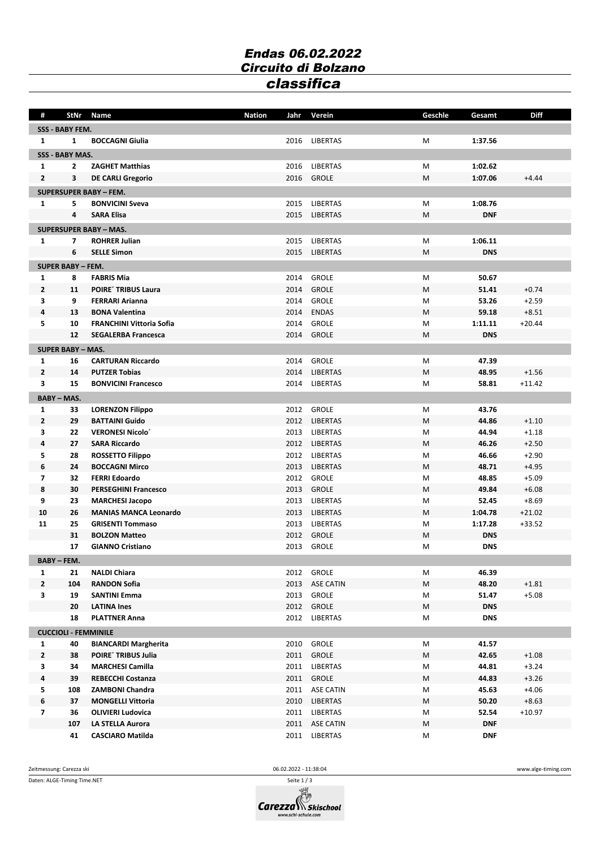## *Endas 06.02.2022 Circuito di Bolzano classifica*

| #                | StNr                        | Name                                        | <b>Nation</b><br>Jahr | Verein                      | Geschle | Gesamt     | <b>Diff</b> |  |  |
|------------------|-----------------------------|---------------------------------------------|-----------------------|-----------------------------|---------|------------|-------------|--|--|
| SSS - BABY FEM.  |                             |                                             |                       |                             |         |            |             |  |  |
| 1                | 1                           | <b>BOCCAGNI Giulia</b>                      | 2016                  | LIBERTAS                    | M       | 1:37.56    |             |  |  |
|                  | SSS - BABY MAS.             |                                             |                       |                             |         |            |             |  |  |
| 1                | 2                           | <b>ZAGHET Matthias</b>                      | 2016                  | LIBERTAS                    | M       | 1:02.62    |             |  |  |
| $\mathbf{2}$     | 3                           | <b>DE CARLI Gregorio</b>                    | 2016                  | <b>GROLE</b>                | M       | 1:07.06    | $+4.44$     |  |  |
|                  |                             |                                             |                       |                             |         |            |             |  |  |
|                  |                             | <b>SUPERSUPER BABY - FEM.</b>               |                       |                             |         |            |             |  |  |
| 1                | 5<br>4                      | <b>BONVICINI Sveva</b><br><b>SARA Elisa</b> | 2015<br>2015          | LIBERTAS<br><b>LIBERTAS</b> | М       | 1:08.76    |             |  |  |
|                  |                             |                                             |                       |                             | M       | <b>DNF</b> |             |  |  |
|                  |                             | <b>SUPERSUPER BABY - MAS.</b>               |                       |                             |         |            |             |  |  |
| 1                | 7                           | <b>ROHRER Julian</b>                        | 2015                  | <b>LIBERTAS</b>             | M       | 1:06.11    |             |  |  |
|                  | 6                           | <b>SELLE Simon</b>                          | 2015                  | <b>LIBERTAS</b>             | M       | <b>DNS</b> |             |  |  |
|                  | <b>SUPER BABY - FEM.</b>    |                                             |                       |                             |         |            |             |  |  |
| 1                | 8                           | <b>FABRIS Mia</b>                           | 2014                  | <b>GROLE</b>                | M       | 50.67      |             |  |  |
| $\mathbf{2}$     | 11                          | <b>POIRE' TRIBUS Laura</b>                  | 2014                  | <b>GROLE</b>                | M       | 51.41      | $+0.74$     |  |  |
| 3                | 9                           | <b>FERRARI Arianna</b>                      | 2014                  | <b>GROLE</b>                | M       | 53.26      | $+2.59$     |  |  |
| 4                | 13                          | <b>BONA Valentina</b>                       | 2014                  | <b>ENDAS</b>                | M       | 59.18      | $+8.51$     |  |  |
| 5.               | 10                          | <b>FRANCHINI Vittoria Sofia</b>             | 2014                  | <b>GROLE</b>                | M       | 1:11.11    | $+20.44$    |  |  |
|                  | 12                          | <b>SEGALERBA Francesca</b>                  | 2014                  | GROLE                       | M       | <b>DNS</b> |             |  |  |
|                  | <b>SUPER BABY - MAS.</b>    |                                             |                       |                             |         |            |             |  |  |
| 1                | 16                          | <b>CARTURAN Riccardo</b>                    | 2014                  | <b>GROLE</b>                | М       | 47.39      |             |  |  |
| $\mathbf{2}$     | 14                          | <b>PUTZER Tobias</b>                        | 2014                  | <b>LIBERTAS</b>             | M       | 48.95      | $+1.56$     |  |  |
| 3                | 15                          | <b>BONVICINI Francesco</b>                  | 2014                  | LIBERTAS                    | M       | 58.81      | $+11.42$    |  |  |
|                  | <b>BABY-MAS.</b>            |                                             |                       |                             |         |            |             |  |  |
| 1                | 33                          | <b>LORENZON Filippo</b>                     | 2012                  | GROLE                       | M       | 43.76      |             |  |  |
| $\mathbf{2}$     | 29                          | <b>BATTAINI Guido</b>                       | 2012                  | <b>LIBERTAS</b>             | M       | 44.86      | $+1.10$     |  |  |
| 3                | 22                          | <b>VERONESI Nicolo</b>                      |                       | 2013 LIBERTAS               | M       | 44.94      | $+1.18$     |  |  |
| 4                | 27                          | <b>SARA Riccardo</b>                        |                       | 2012 LIBERTAS               | M       | 46.26      | $+2.50$     |  |  |
| 5                | 28                          | <b>ROSSETTO Filippo</b>                     |                       | 2012 LIBERTAS               | M       | 46.66      | $+2.90$     |  |  |
| 6                | 24                          | <b>BOCCAGNI Mirco</b>                       | 2013                  | LIBERTAS                    | M       | 48.71      | $+4.95$     |  |  |
| 7                | 32                          | <b>FERRI Edoardo</b>                        | 2012                  | <b>GROLE</b>                | M       | 48.85      | $+5.09$     |  |  |
| 8                | 30                          | <b>PERSEGHINI Francesco</b>                 | 2013                  | <b>GROLE</b>                | M       | 49.84      | $+6.08$     |  |  |
| 9                | 23                          | <b>MARCHESI Jacopo</b>                      | 2013                  | <b>LIBERTAS</b>             | M       | 52.45      | $+8.69$     |  |  |
| 10               | 26                          | <b>MANIAS MANCA Leonardo</b>                | 2013                  | <b>LIBERTAS</b>             | M       | 1:04.78    | $+21.02$    |  |  |
| 11               | 25                          | <b>GRISENTI Tommaso</b>                     | 2013                  | <b>LIBERTAS</b>             | М       | 1:17.28    | $+33.52$    |  |  |
|                  | 31                          | <b>BOLZON Matteo</b>                        | 2012                  | <b>GROLE</b>                | M       | <b>DNS</b> |             |  |  |
|                  | 17                          | <b>GIANNO Cristiano</b>                     | 2013                  | <b>GROLE</b>                | M       | <b>DNS</b> |             |  |  |
| <b>BABY-FEM.</b> |                             |                                             |                       |                             |         |            |             |  |  |
| 1                | 21                          | <b>NALDI Chiara</b>                         |                       | 2012 GROLE                  | М       | 46.39      |             |  |  |
| $\mathbf{2}$     | 104                         | <b>RANDON Sofia</b>                         | 2013                  | <b>ASE CATIN</b>            | M       | 48.20      | $+1.81$     |  |  |
| $\mathbf{3}$     | 19                          | <b>SANTINI Emma</b>                         |                       | 2013 GROLE                  | М       | 51.47      | $+5.08$     |  |  |
|                  | 20                          | <b>LATINA Ines</b>                          |                       | 2012 GROLE                  | М       | <b>DNS</b> |             |  |  |
|                  | 18                          | <b>PLATTNER Anna</b>                        |                       | 2012 LIBERTAS               | М       | <b>DNS</b> |             |  |  |
|                  | <b>CUCCIOLI - FEMMINILE</b> |                                             |                       |                             |         |            |             |  |  |
| $\mathbf{1}$     | 40                          | <b>BIANCARDI Margherita</b>                 | 2010                  | GROLE                       | М       | 41.57      |             |  |  |
| $\mathbf{2}$     | 38                          | POIRE' TRIBUS Julia                         | 2011                  | GROLE                       | M       | 42.65      | $+1.08$     |  |  |
| 3                | 34                          | <b>MARCHESI Camilla</b>                     |                       | 2011 LIBERTAS               | м       | 44.81      | $+3.24$     |  |  |
| 4                | 39                          | <b>REBECCHI Costanza</b>                    |                       | 2011 GROLE                  | M       | 44.83      | $+3.26$     |  |  |
| 5                | 108                         | <b>ZAMBONI Chandra</b>                      |                       | 2011 ASE CATIN              | М       | 45.63      | $+4.06$     |  |  |
| 6                | 37                          | <b>MONGELLI Vittoria</b>                    |                       | 2010 LIBERTAS               | М       | 50.20      | $+8.63$     |  |  |
| 7                | 36                          | <b>OLIVIERI Ludovica</b>                    |                       | 2011 LIBERTAS               | М       | 52.54      | $+10.97$    |  |  |
|                  | 107                         | LA STELLA Aurora                            |                       | 2011 ASE CATIN              | M       | <b>DNF</b> |             |  |  |
|                  | 41                          | <b>CASCIARO Matilda</b>                     |                       | 2011 LIBERTAS               | М       | <b>DNF</b> |             |  |  |

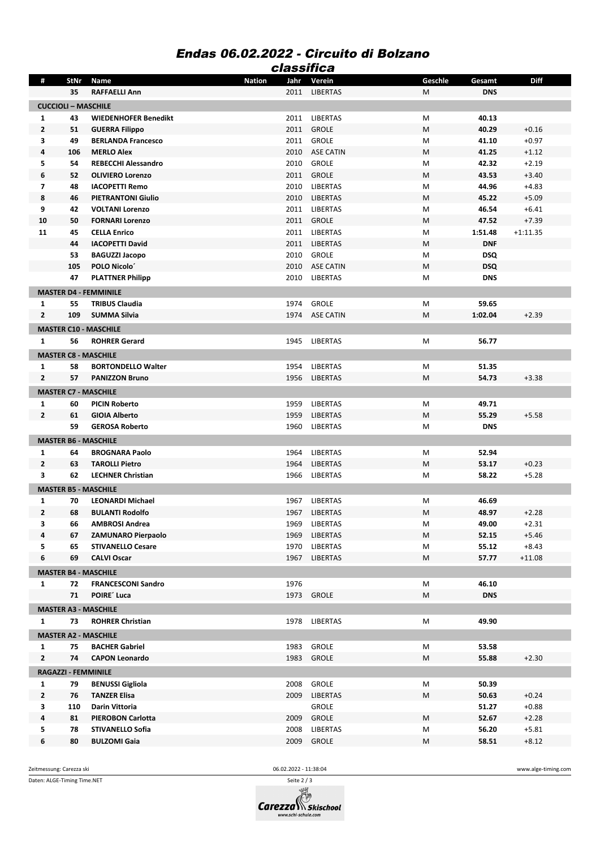## *Endas 06.02.2022 - Circuito di Bolzano classifica*

|                            |      |                              | uassuud               |                  |         |            |             |  |  |
|----------------------------|------|------------------------------|-----------------------|------------------|---------|------------|-------------|--|--|
| #                          | StNr | Name                         | <b>Nation</b><br>Jahr | Verein           | Geschle | Gesamt     | <b>Diff</b> |  |  |
|                            | 35   | <b>RAFFAELLI Ann</b>         | 2011                  | <b>LIBERTAS</b>  | M       | <b>DNS</b> |             |  |  |
| <b>CUCCIOLI - MASCHILE</b> |      |                              |                       |                  |         |            |             |  |  |
| 1                          | 43   | <b>WIEDENHOFER Benedikt</b>  |                       | 2011 LIBERTAS    | M       | 40.13      |             |  |  |
| $\mathbf{2}$               | 51   | <b>GUERRA Filippo</b>        | 2011                  | <b>GROLE</b>     | M       | 40.29      | $+0.16$     |  |  |
| 3                          | 49   | <b>BERLANDA Francesco</b>    | 2011                  | <b>GROLE</b>     | M       | 41.10      | $+0.97$     |  |  |
| 4                          | 106  | <b>MERLO Alex</b>            | 2010                  | ASE CATIN        | M       | 41.25      | $+1.12$     |  |  |
| 5                          | 54   | <b>REBECCHI Alessandro</b>   | 2010                  | <b>GROLE</b>     | M       | 42.32      | $+2.19$     |  |  |
| 6                          | 52   | <b>OLIVIERO Lorenzo</b>      | 2011                  | <b>GROLE</b>     | M       | 43.53      | $+3.40$     |  |  |
| $\overline{\mathbf{z}}$    | 48   | <b>IACOPETTI Remo</b>        | 2010                  | <b>LIBERTAS</b>  | M       | 44.96      | $+4.83$     |  |  |
| 8                          | 46   | <b>PIETRANTONI Giulio</b>    | 2010                  | <b>LIBERTAS</b>  | M       | 45.22      | $+5.09$     |  |  |
| 9                          | 42   | <b>VOLTANI Lorenzo</b>       | 2011                  | <b>LIBERTAS</b>  | M       | 46.54      | $+6.41$     |  |  |
| 10                         | 50   | <b>FORNARI Lorenzo</b>       | 2011                  | <b>GROLE</b>     | M       | 47.52      | $+7.39$     |  |  |
| 11                         | 45   | <b>CELLA Enrico</b>          | 2011                  | <b>LIBERTAS</b>  | M       | 1:51.48    | $+1:11.35$  |  |  |
|                            | 44   | <b>IACOPETTI David</b>       | 2011                  | <b>LIBERTAS</b>  | M       | <b>DNF</b> |             |  |  |
|                            | 53   | <b>BAGUZZI Jacopo</b>        | 2010                  | <b>GROLE</b>     | M       | <b>DSQ</b> |             |  |  |
|                            | 105  | POLO Nicolo'                 | 2010                  | <b>ASE CATIN</b> | M       | <b>DSQ</b> |             |  |  |
|                            | 47   | <b>PLATTNER Philipp</b>      | 2010                  | <b>LIBERTAS</b>  | M       | <b>DNS</b> |             |  |  |
|                            |      |                              |                       |                  |         |            |             |  |  |
|                            |      | <b>MASTER D4 - FEMMINILE</b> |                       |                  |         |            |             |  |  |
| 1                          | 55   | <b>TRIBUS Claudia</b>        | 1974                  | <b>GROLE</b>     | M       | 59.65      |             |  |  |
| $\overline{2}$             | 109  | <b>SUMMA Silvia</b>          | 1974                  | <b>ASE CATIN</b> | M       | 1:02.04    | $+2.39$     |  |  |
|                            |      | <b>MASTER C10 - MASCHILE</b> |                       |                  |         |            |             |  |  |
| $\mathbf{1}$               | 56   | <b>ROHRER Gerard</b>         | 1945                  | LIBERTAS         | M       | 56.77      |             |  |  |
|                            |      | <b>MASTER C8 - MASCHILE</b>  |                       |                  |         |            |             |  |  |
| 1                          | 58   | <b>BORTONDELLO Walter</b>    | 1954                  | <b>LIBERTAS</b>  | M       | 51.35      |             |  |  |
| $\overline{2}$             | 57   | <b>PANIZZON Bruno</b>        | 1956                  | <b>LIBERTAS</b>  | M       | 54.73      | $+3.38$     |  |  |
|                            |      |                              |                       |                  |         |            |             |  |  |
|                            |      | <b>MASTER C7 - MASCHILE</b>  |                       |                  |         |            |             |  |  |
| 1                          | 60   | <b>PICIN Roberto</b>         | 1959                  | LIBERTAS         | M       | 49.71      |             |  |  |
| $\overline{2}$             | 61   | <b>GIOIA Alberto</b>         | 1959                  | LIBERTAS         | M       | 55.29      | $+5.58$     |  |  |
|                            | 59   | <b>GEROSA Roberto</b>        | 1960                  | <b>LIBERTAS</b>  | M       | <b>DNS</b> |             |  |  |
|                            |      | <b>MASTER B6 - MASCHILE</b>  |                       |                  |         |            |             |  |  |
| 1                          | 64   | <b>BROGNARA Paolo</b>        | 1964                  | <b>LIBERTAS</b>  | M       | 52.94      |             |  |  |
| $\overline{2}$             | 63   | <b>TAROLLI Pietro</b>        | 1964                  | LIBERTAS         | M       | 53.17      | $+0.23$     |  |  |
| 3                          | 62   | <b>LECHNER Christian</b>     | 1966                  | <b>LIBERTAS</b>  | M       | 58.22      | $+5.28$     |  |  |
|                            |      | <b>MASTER B5 - MASCHILE</b>  |                       |                  |         |            |             |  |  |
| 1                          | 70   | <b>LEONARDI Michael</b>      | 1967                  | <b>LIBERTAS</b>  | M       | 46.69      |             |  |  |
| $\mathbf{2}$               | 68   | <b>BULANTI Rodolfo</b>       | 1967                  | LIBERTAS         | M       | 48.97      | $+2.28$     |  |  |
| З                          | 66   | <b>AMBROSI Andrea</b>        | 1969                  | LIBERTAS         | M       | 49.00      | +2.31       |  |  |
| 4                          | 67   | <b>ZAMUNARO Pierpaolo</b>    | 1969                  | LIBERTAS         | M       | 52.15      | $+5.46$     |  |  |
| 5                          | 65   | <b>STIVANELLO Cesare</b>     | 1970                  | <b>LIBERTAS</b>  | M       | 55.12      | $+8.43$     |  |  |
| 6                          | 69   | <b>CALVI Oscar</b>           | 1967                  | LIBERTAS         | M       | 57.77      | $+11.08$    |  |  |
|                            |      |                              |                       |                  |         |            |             |  |  |
|                            |      | <b>MASTER B4 - MASCHILE</b>  |                       |                  |         |            |             |  |  |
| $\mathbf{1}$               | 72   | <b>FRANCESCONI Sandro</b>    | 1976                  |                  | M       | 46.10      |             |  |  |
|                            | 71   | POIRE' Luca                  |                       | 1973 GROLE       | M       | <b>DNS</b> |             |  |  |
|                            |      | <b>MASTER A3 - MASCHILE</b>  |                       |                  |         |            |             |  |  |
| 1                          | 73   | <b>ROHRER Christian</b>      | 1978                  | LIBERTAS         | M       | 49.90      |             |  |  |
|                            |      | <b>MASTER A2 - MASCHILE</b>  |                       |                  |         |            |             |  |  |
| $\mathbf{1}$               | 75   | <b>BACHER Gabriel</b>        | 1983                  | <b>GROLE</b>     | M       | 53.58      |             |  |  |
| $\mathbf{2}$               | 74   | <b>CAPON Leonardo</b>        | 1983                  | <b>GROLE</b>     | M       | 55.88      | $+2.30$     |  |  |
|                            |      | <b>RAGAZZI - FEMMINILE</b>   |                       |                  |         |            |             |  |  |
| $\mathbf{1}$               | 79   | <b>BENUSSI Gigliola</b>      | 2008                  | <b>GROLE</b>     |         | 50.39      |             |  |  |
| $\mathbf{2}$               |      |                              |                       |                  | M       |            |             |  |  |
|                            | 76   | <b>TANZER Elisa</b>          | 2009                  | <b>LIBERTAS</b>  | М       | 50.63      | $+0.24$     |  |  |
| 3                          | 110  | Darin Vittoria               |                       | <b>GROLE</b>     |         | 51.27      | $+0.88$     |  |  |
| 4                          | 81   | <b>PIEROBON Carlotta</b>     | 2009                  | <b>GROLE</b>     | M       | 52.67      | $+2.28$     |  |  |
| 5                          | 78   | <b>STIVANELLO Sofia</b>      | 2008                  | LIBERTAS         | M       | 56.20      | $+5.81$     |  |  |
| 6                          | 80   | <b>BULZOMI Gaia</b>          | 2009                  | <b>GROLE</b>     | M       | 58.51      | $+8.12$     |  |  |